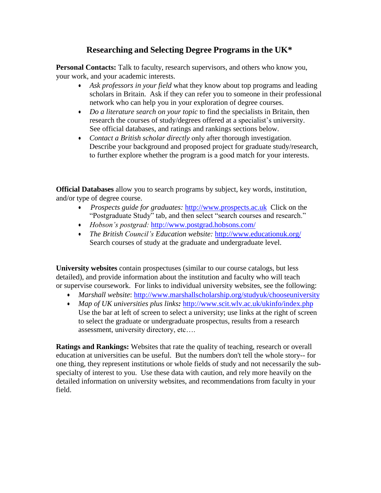## **Researching and Selecting Degree Programs in the UK\***

Personal Contacts: Talk to faculty, research supervisors, and others who know you, your work, and your academic interests.

- *Ask professors in your field* what they know about top programs and leading scholars in Britain. Ask if they can refer you to someone in their professional network who can help you in your exploration of degree courses.
- *Do a literature search on your topic* to find the specialists in Britain, then research the courses of study/degrees offered at a specialist's university. See official databases, and ratings and rankings sections below.
- *Contact a British scholar directly* only after thorough investigation. Describe your background and proposed project for graduate study/research, to further explore whether the program is a good match for your interests.

**Official Databases** allow you to search programs by subject, key words, institution, and/or type of degree course.

- *Prospects guide for graduates:* [http://www.prospects.ac.uk](http://www.prospects.ac.uk/) Click on the "Postgraduate Study" tab, and then select "search courses and research."
- *Hobson's postgrad:* <http://www.postgrad.hobsons.com/>
- *The British Council's Education website:* <http://www.educationuk.org/> Search courses of study at the graduate and undergraduate level.

**University websites** contain prospectuses (similar to our course catalogs, but less detailed), and provide information about the institution and faculty who will teach or supervise coursework. For links to individual university websites, see the following:

- *Marshall website*:<http://www.marshallscholarship.org/studyuk/chooseuniversity>
- *Map of UK universities plus links:* <http://www.scit.wlv.ac.uk/ukinfo/index.php> Use the bar at left of screen to select a university; use links at the right of screen to select the graduate or undergraduate prospectus, results from a research assessment, university directory, etc….

**Ratings and Rankings:** Websites that rate the quality of teaching, research or overall education at universities can be useful. But the numbers don't tell the whole story-- for one thing, they represent institutions or whole fields of study and not necessarily the subspecialty of interest to you. Use these data with caution, and rely more heavily on the detailed information on university websites, and recommendations from faculty in your field.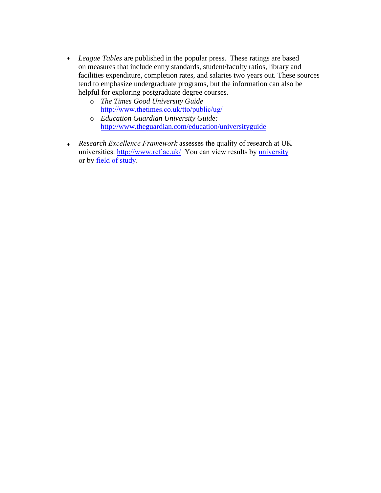- *League Tables* are published in the popular press. These ratings are based on measures that include entry standards, student/faculty ratios, library and facilities expenditure, completion rates, and salaries two years out. These sources tend to emphasize undergraduate programs, but the information can also be helpful for exploring postgraduate degree courses.
	- o *The Times Good University Guide* [http://www.thetimes.co.uk/tto/public/ug/](http://www.thetimes.co.uk/tto/public/gug/)
	- o *Education Guardian University Guide:* http://www.theguardian.com/education/universityguide
- *Research Excellence Framework* assesses the quality of research at UK universities. [http://www.ref.ac.uk/](http://www.rae.ac.uk/) You can view results by university or by field of study.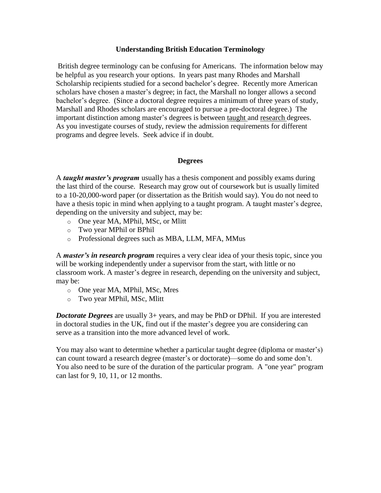## **Understanding British Education Terminology**

British degree terminology can be confusing for Americans. The information below may be helpful as you research your options. In years past many Rhodes and Marshall Scholarship recipients studied for a second bachelor's degree. Recently more American scholars have chosen a master's degree; in fact, the Marshall no longer allows a second bachelor's degree. (Since a doctoral degree requires a minimum of three years of study, Marshall and Rhodes scholars are encouraged to pursue a pre-doctoral degree.) The important distinction among master's degrees is between taught and research degrees. As you investigate courses of study, review the admission requirements for different programs and degree levels. Seek advice if in doubt.

## **Degrees**

A *taught master's program* usually has a thesis component and possibly exams during the last third of the course. Research may grow out of coursework but is usually limited to a 10-20,000-word paper (or dissertation as the British would say). You do not need to have a thesis topic in mind when applying to a taught program. A taught master's degree, depending on the university and subject, may be:

- o One year MA, MPhil, MSc, or Mlitt
- o Two year MPhil or BPhil
- o Professional degrees such as MBA, LLM, MFA, MMus

A *master's in research program* requires a very clear idea of your thesis topic, since you will be working independently under a supervisor from the start, with little or no classroom work. A master's degree in research, depending on the university and subject, may be:

- o One year MA, MPhil, MSc, Mres
- o Two year MPhil, MSc, Mlitt

*Doctorate Degrees* are usually 3+ years, and may be PhD or DPhil. If you are interested in doctoral studies in the UK, find out if the master's degree you are considering can serve as a transition into the more advanced level of work.

You may also want to determine whether a particular taught degree (diploma or master's) can count toward a research degree (master's or doctorate)—some do and some don't. You also need to be sure of the duration of the particular program. A "one year" program can last for 9, 10, 11, or 12 months.